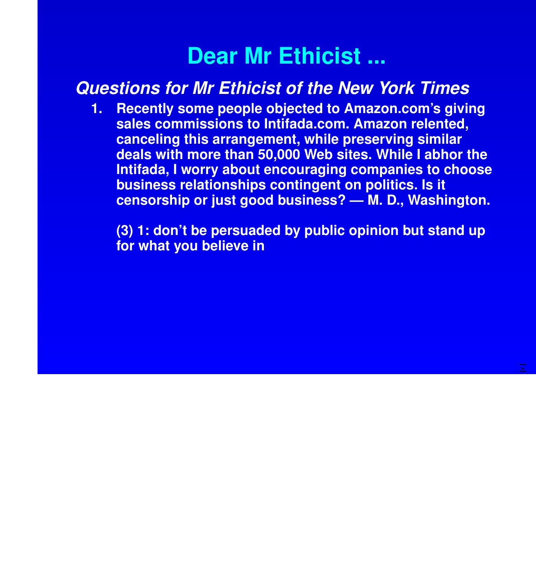# **Dear Mr Ethicist ...**

## **Questions for Mr Ethicist of the New York Times**

**1. Recently some people objected to Amazon.com's giving sales commissions to Intifada.com. Amazon relented, canceling this arrangement, while preserving similar deals with more than 50,000 Web sites. While I abhor the Intifada, I worry about encouraging companies to choose business relationships contingent on politics. Is it censorship or just good business? — M. D., Washington.**

**(3) 1: don't be persuaded by public opinion but stand up for what you believe in**

**>**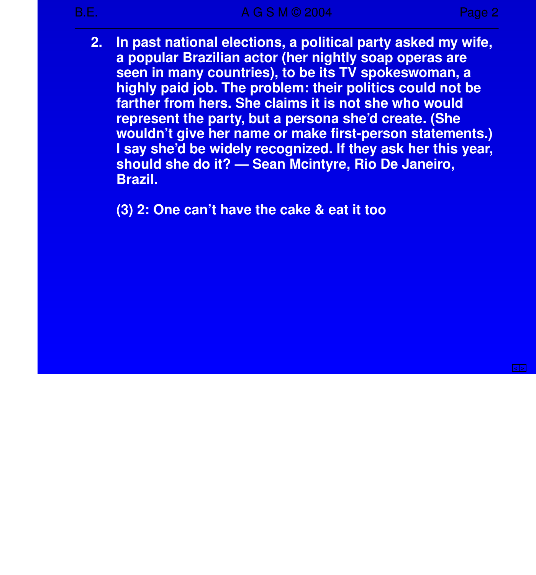**2. In past national elections, a political party asked my wife, a popular Brazilian actor (her nightly soap operas are seen in many countries), to be its TV spokeswoman, a highly paid job. The problem: their politics could not be far ther from hers. She claims it is not she who would represent the party, but a persona she'd create. (She wouldn't give her name or make first-person statements.) I say she'd be widely recognized. If they ask her this year, should she do it? — Sean Mcintyre, Rio De Janeiro, Brazil.**

**(3) 2: One can't have the cake & eat it too**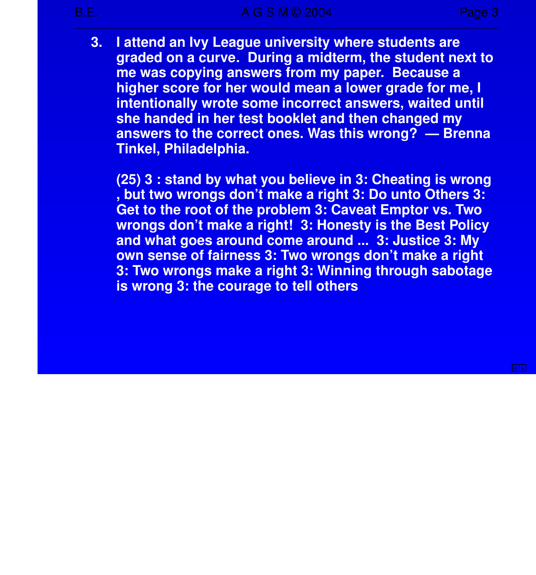**< >**

**3. I attend an Ivy League university where students are graded on a curve. During a midterm, the student next to me was copying answers from my paper. Because a higher score for her would mean a lower grade for me, I intentionally wrote some incorrect answers, waited until she handed in her test booklet and then changed my answers to the correct ones. Was this wrong? — Brenna Tinkel, Philadelphia.**

**(25) 3 : stand by what you believe in 3: Cheating is wrong , but two wrongs don't make a right 3: Do unto Others 3: Get to the root of the problem 3: Caveat Emptor vs. Two wrongs don't make a right! 3: Honesty is the Best Policy and what goes around come around ... 3: Justice 3: My own sense of fairness 3: Two wrongs don't make a right 3: Two wrongs make a right 3: Winning through sabotage is wrong 3: the courage to tell others**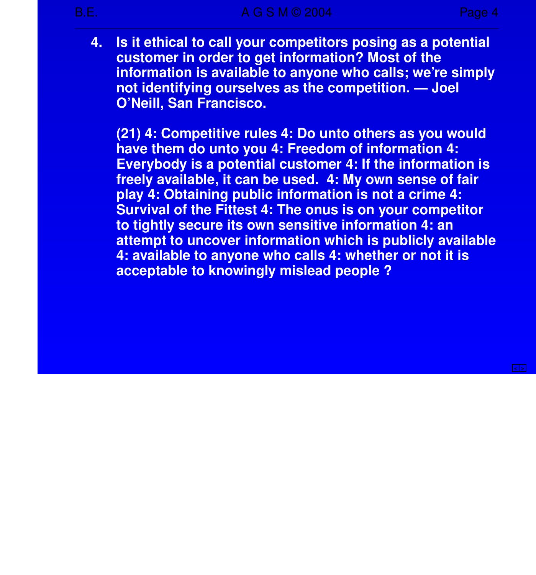**4. Is it ethical to call your competitors posing as a potential customer in order to get information? Most of the information is available to anyone who calls; we're simply not identifying ourselves as the competition. — Joel O'Neill, San Francisco.**

**(21) 4: Competitive rules 4: Do unto others as you would have them do unto you 4: Freedom of information 4: Everybody is a potential customer 4: If the information is** freely available, it can be used. 4: My own sense of fair **play 4: Obtaining public information is not a crime 4: Survival of the Fittest 4: The onus is on your competitor to tightly secure its own sensitive information 4: an attempt to uncover information which is publicly available 4: available to anyone who calls 4: whether or not it is acceptable to knowingly mislead people ?**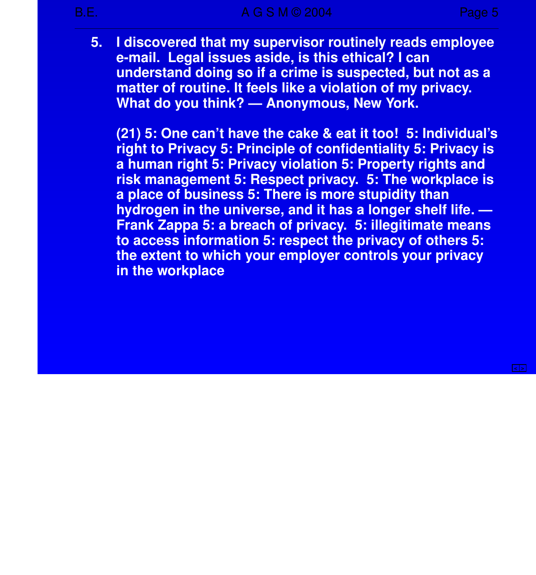**5. I discovered that my super visor routinely reads employee e-mail. Legal issues aside, is this ethical? I can understand doing so if a crime is suspected, but not as a matter of routine. It feels like a violation of my privacy. What do you think? — Anonymous, New York.**

**(21) 5: One can't have the cake & eat it too! 5: Individual's right to Privacy 5: Principle of confidentiality 5: Privacy is a human right 5: Privacy violation 5: Property rights and risk management 5: Respect privacy. 5: The workplace is a place of business 5: There is more stupidity than** hydrogen in the universe, and it has a longer shelf life.  $-$ **Frank Zappa 5: a breach of privacy. 5: illegitimate means to access information 5: respect the privacy of others 5: the extent to which your employer controls your privacy in the workplace**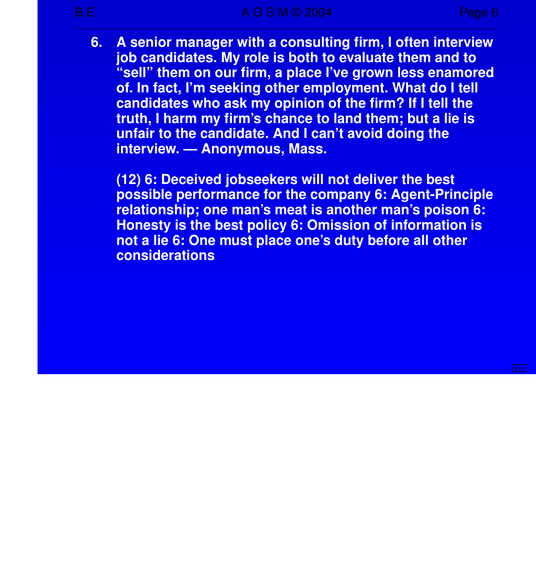**6. A senior manager with a consulting firm, I often interview job candidates. My role is both to evaluate them and to "sell" them on our firm, a place I've grown less enamored of. In fact, I'm seeking other employment. What do I tell candidates who ask my opinion of the firm? If I tell the truth, I harm my firm's chance to land them; but a lie is unfair to the candidate. And I can't avoid doing the inter view. — Anonymous, Mass.**

**(12) 6: Deceived jobseekers will not deliver the best possible performance for the company 6: Agent-Principle relationship; one man's meat is another man's poison 6: Honesty is the best policy 6: Omission of information is not a lie 6: One must place one's duty before all other considerations**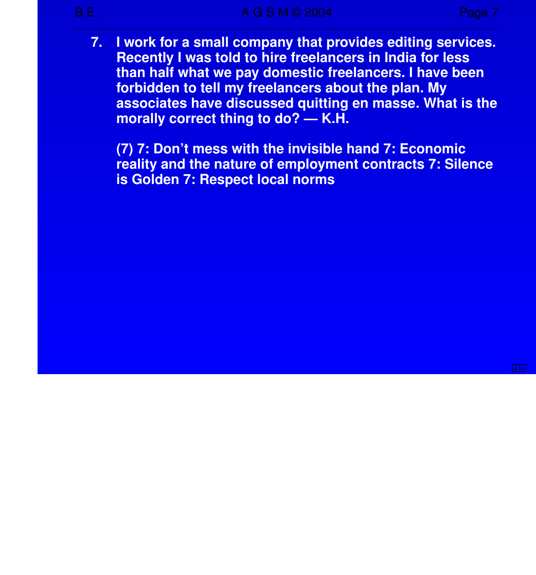B.E. B. A G S M © 2004 Page 7

**7. I work for a small company that provides editing services. Recently I was told to hire freelancers in India for less than half what we pay domestic freelancers. I have been forbidden to tell my freelancers about the plan. My associates have discussed quitting en masse. What is the morally correct thing to do? — K.H.**

**(7) 7: Don't mess with the invisible hand 7: Economic reality and the nature of employment contracts 7: Silence is Golden 7: Respect local norms**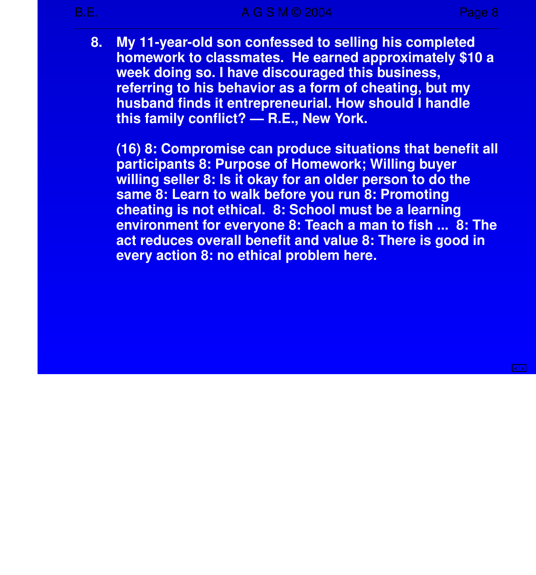**8. My 11-year-old son confessed to selling his completed homework to classmates. He earned approximately \$10 a week doing so. I have discouraged this business, referring to his behavior as a form of cheating, but my husband finds it entrepreneurial. How should I handle this family conflict? — R.E., New York.**

**(16) 8: Compromise can produce situations that benefit all par ticipants 8: Purpose of Homework; Willing buyer willing seller 8: Is it okay for an older person to do the same 8: Learn to walk before you run 8: Promoting cheating is not ethical. 8: School must be a learning environment for everyone 8: Teach a man to fish ... 8: The act reduces overall benefit and value 8: There is good in every action 8: no ethical problem here.**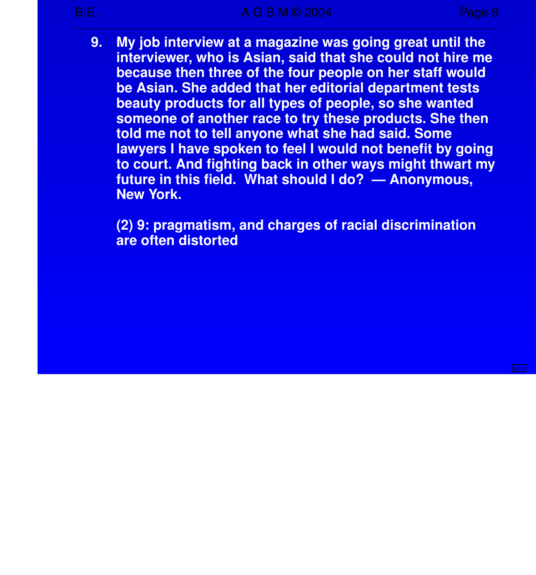**9. My job interview at a magazine was going great until the inter viewer, who is Asian, said that she could not hire me because then three of the four people on her staff would be Asian. She added that her editorial department tests beauty products for all types of people, so she wanted someone of another race to try these products. She then told me not to tell anyone what she had said. Some** lawyers I have spoken to feel I would not benefit by going **to court. And fighting back in other ways might thwart my future in this field. What should I do? — Anonymous, New York.**

**(2) 9: pragmatism, and charges of racial discrimination are often distorted**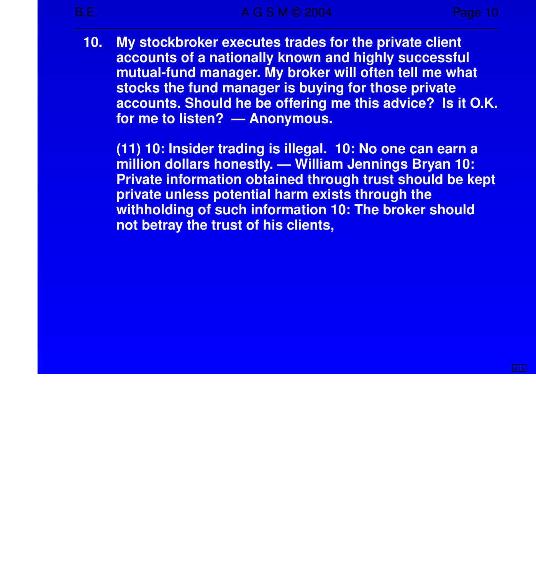**10. My stockbroker executes trades for the private client accounts of a nationally known and highly successful mutual-fund manager. My broker will often tell me what stocks the fund manager is buying for those private accounts. Should he be offering me this advice? Is it O.K. for me to listen? — Anonymous.**

**(11) 10: Insider trading is illegal. 10: No one can earn a million dollars honestly. — William Jennings Bryan 10: Private information obtained through trust should be kept private unless potential harm exists through the withholding of such information 10: The broker should not betray the trust of his clients,**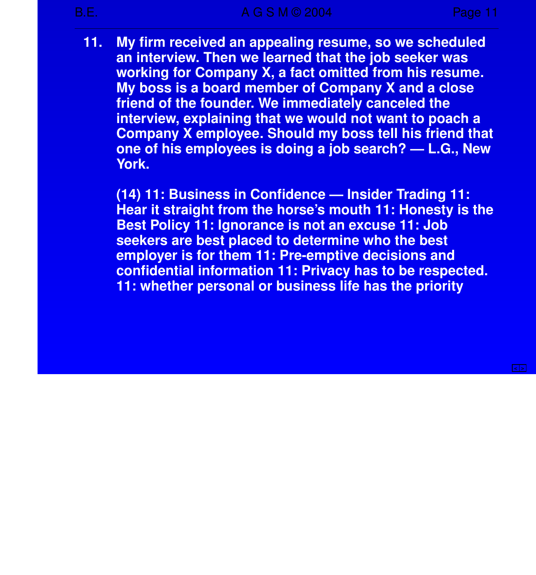**11. My firm received an appealing resume, so we scheduled an interview. Then we learned that the job seeker was working for Company X, a fact omitted from his resume. My boss is a board member of Company X and a close friend of the founder. We immediately canceled the inter view, explaining that we would not want to poach a Company X employee. Should my boss tell his friend that one of his employees is doing a job search?—L.G., New York.**

**(14) 11: Business in Confidence — Insider Trading 11: Hear it straight from the horse's mouth 11: Honesty is the Best Policy 11: Ignorance is not an excuse 11: Job seekers are best placed to determine who the best employer is for them 11: Pre-emptive decisions and confidential information 11: Privacy has to be respected. 11: whether personal or business life has the priority**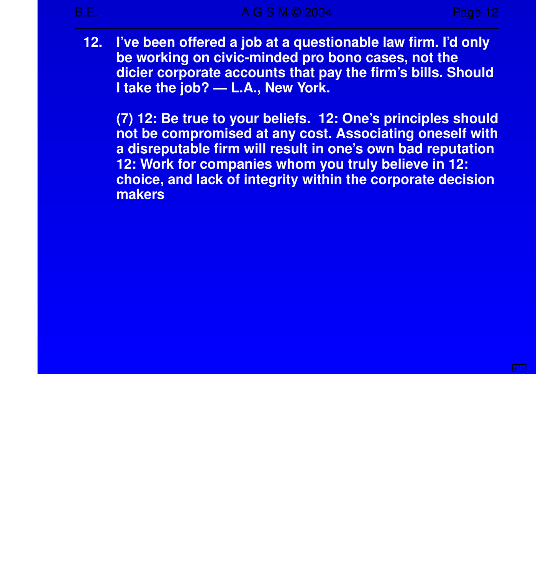**12. I've been offered a job at a questionable law firm. I'd only be working on civic-minded pro bono cases, not the dicier corporate accounts that pay the firm's bills. Should I take the job? — L.A., New York.**

**(7) 12: Be true to your beliefs. 12: One's principles should not be compromised at any cost. Associating oneself with a disreputable firm will result in one's own bad reputation 12: Work for companies whom you truly believe in 12: choice , and lack of integrity within the corporate decision makers**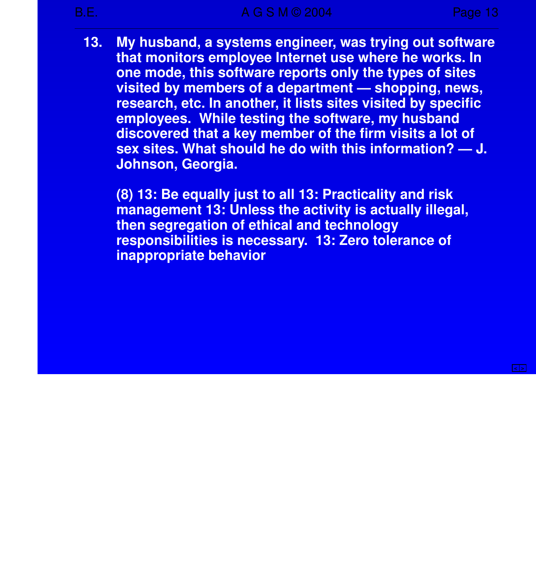**13. My husband, a systems engineer, was trying out software that monitors employee Internet use where he works. In one mode, this software reports only the types of sites visited by members of a department — shopping, news, research, etc. In another, it lists sites visited by specific employees. While testing the software, my husband discovered that a key member of the firm visits a lot of sex sites. What should he do with this information? — J. Johnson, Georgia.**

**(8) 13: Be equally just to all 13: Practicality and risk management 13: Unless the activity is actually illegal, then segregation of ethical and technology responsibilities is necessary. 13: Zero tolerance of inappropriate behavior**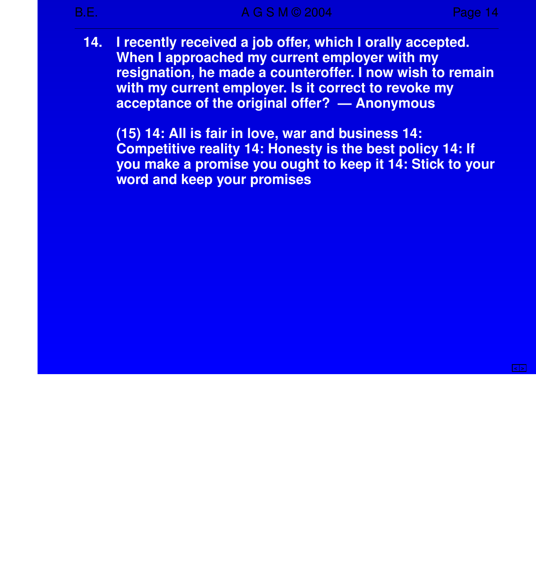**14. I** recently received a job offer, which I orally accepted. **When I approached my current employer with my resignation, he made a counteroffer.Inow wish to remain with my current employer. Is it correct to revoke my acceptance of the original offer? — Anonymous**

**(15) 14: All is fair in love , war and business 14: Competitive reality 14: Honesty is the best policy 14: If you make a promise you ought to keep it 14: Stick to your word and keep your promises**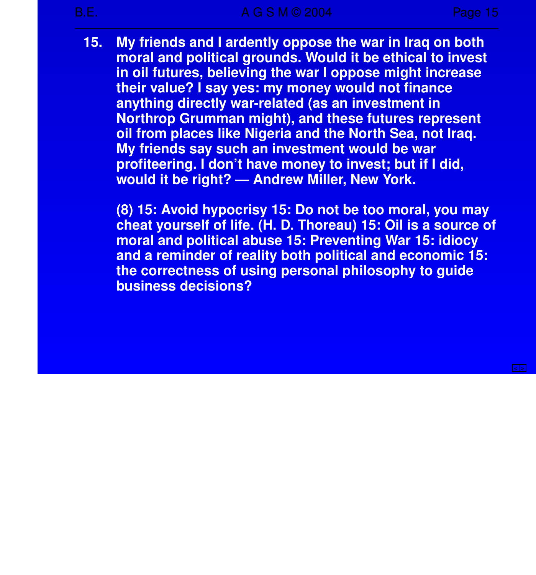**15. My friends and I ardently oppose the war in Iraq on both moral and political grounds. Would it be ethical to invest in oil futures, believing the war I oppose might increase their value? I say yes: my money would not finance anything directly war-related (as an investment in Northrop Grumman might), and these futures represent oil from places like Nigeria and the North Sea, not Iraq. My friends say such an investment would be war profiteering. I don't have money to invest; but if I did, would it be right? — Andrew Miller, New York.**

**(8) 15: Avoid hypocrisy 15: Do not be too moral, you may cheat yourself of life. (H. D. Thoreau) 15: Oil is a source of moral and political abuse 15: Preventing War 15: idiocy and a reminder of reality both political and economic 15: the correctness of using personal philosophy to guide business decisions?**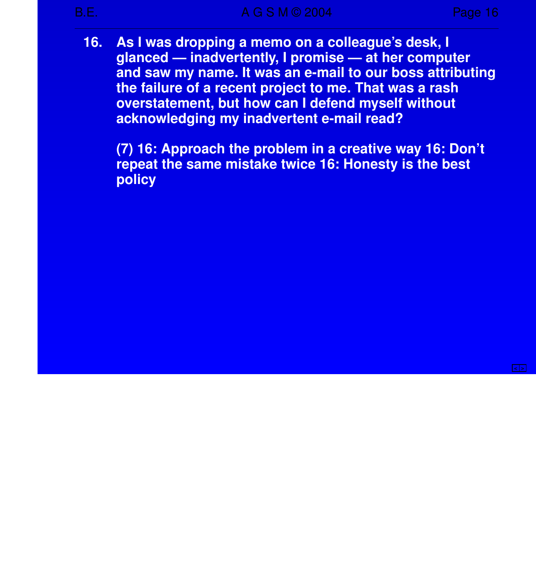**16. As I was dropping a memo on a colleague's desk, I glanced — inadver tently, I promise — at her computer** and saw my name. It was an e-mail to our boss attributing **the failure of a recent project to me. That was a rash overstatement, but how can I defend myself without acknowledging my inadvertent e-mail read?** 

**(7) 16: Approach the problem in a creative way 16: Don't repeat the same mistake twice 16: Honesty is the best policy**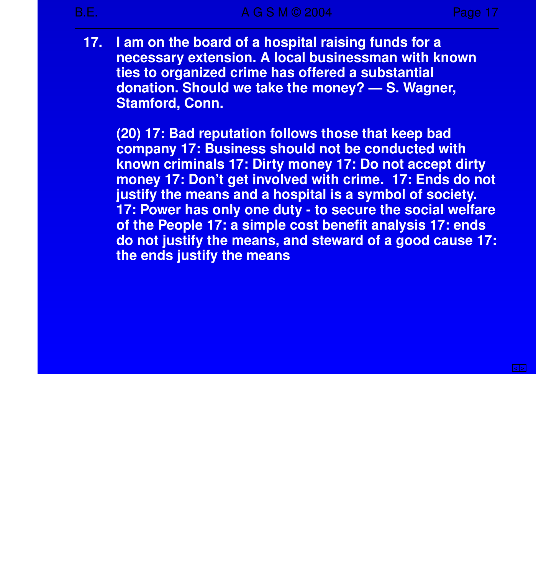**17. I am on the board of a hospital raising funds for a necessary extension. A local businessman with known ties to organized crime has offered a substantial donation. Should we take the money? — S. Wagner, Stamford, Conn.**

**(20) 17: Bad reputation follows those that keep bad company 17: Business should not be conducted with known criminals 17: Dirty money 17: Do not accept dirty money 17: Don't get involved with crime. 17: Ends do not justify the means and a hospital is a symbol of society. 17: Power has only one duty - to secure the social welfare of the People 17: a simple cost benefit analysis 17: ends do not justify the means, and steward of a good cause 17: the ends justify the means**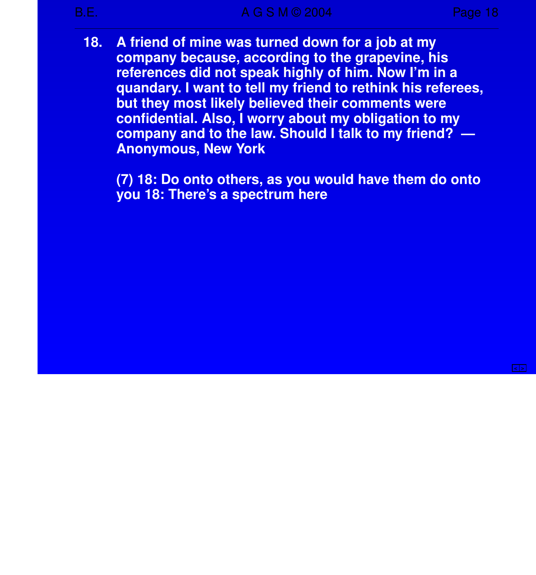**18. A friend of mine was turned down for a job at my company because , according to the grapevine , his references did not speak highly of him. Now I'm in a quandary. I want to tell my friend to rethink his referees, but they most likely believed their comments were confidential. Also, I worry about my obligation to my company and to the law. Should I talk to my friend? — Anonymous, New York**

**(7) 18: Do onto others, as you would have them do onto you 18: There's a spectrum here**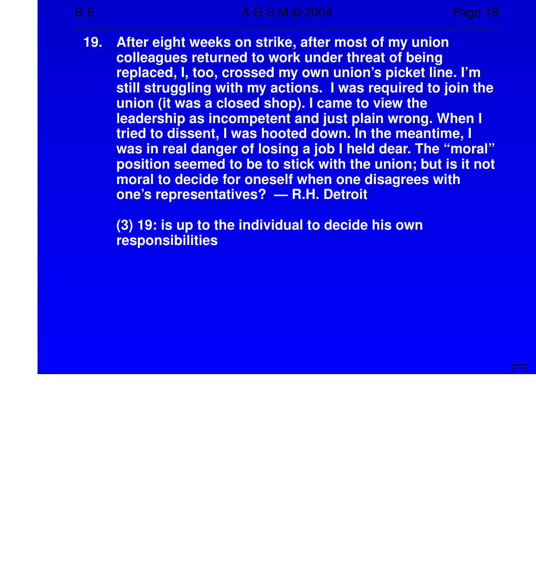**19. After eight weeks on strike, after most of my union colleagues returned to work under threat of being replaced, I, too, crossed my own union's picket line. I'm still struggling with my actions. I was required to join the union (it was a closed shop). I came to view the leadership as incompetent and just plain wrong. When I tried to dissent, I was hooted down. In the meantime, I was in real danger of losing a job I held dear. The "moral" position seemed to be to stick with the union; but is it not moral to decide for oneself when one disagrees with one's representatives? — R.H. Detroit**

**(3) 19: is up to the individual to decide his own responsibilities**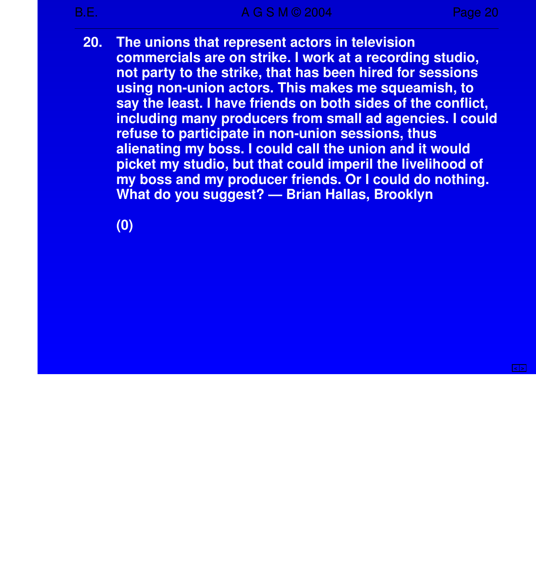**20. The unions that represent actors in television commercials are on strike.Iwork at a recording studio, not party to the strike, that has been hired for sessions using non-union actors. This makes me squeamish, to say the least. I have friends on both sides of the conflict, including many producers from small ad agencies. I could refuse to participate in non-union sessions, thus alienating my boss. I could call the union and it would picket my studio, but that could imperil the livelihood of my boss and my producer friends. Or I could do nothing. What do you suggest? — Brian Hallas, Brooklyn**

**(0)**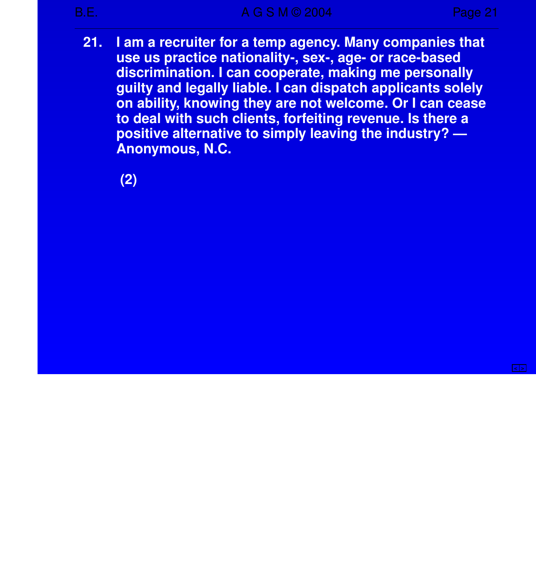**21. I am a recruiter for a temp agency. Many companies that use us practice nationality-, sex-, age- or race-based discrimination. I can cooperate, making me personally guilty and legally liable . I can dispatch applicants solely on ability, knowing they are not welcome. Or I can cease to deal with such clients, forfeiting revenue . Is there a positive alternative to simply leaving the industry? — Anonymous, N.C.**

**(2)**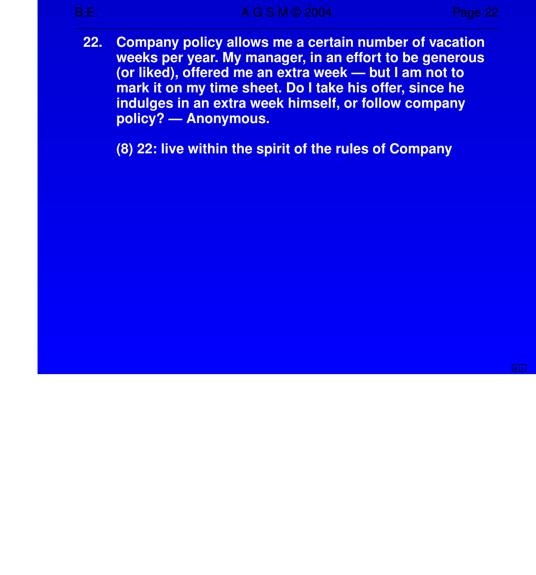**< >**

**22. Company policy allows me a certain number of vacation** weeks per year. My manager, in an effort to be generous **(or liked), offered me an extra week — but I am not to mark it on my time sheet. Do I take his offer, since he indulg es in an extra week himself, or follow company policy? — Anonymous.**

**(8) 22: live within the spirit of the rules of Company**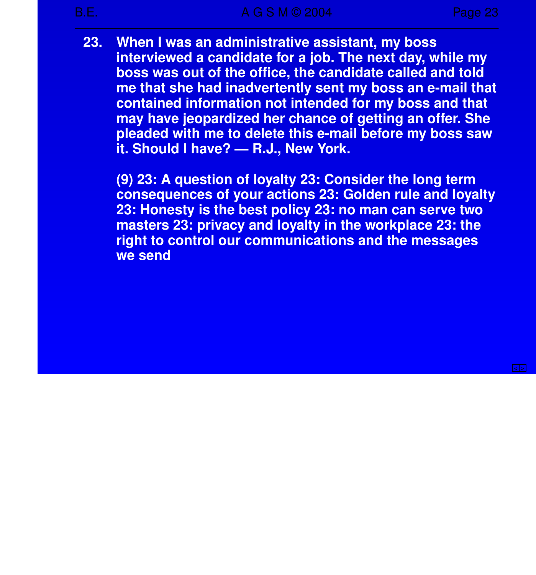**23. When I was an administrative assistant, my boss inter viewed a candidate for a job. The next day, while my boss was out of the office, the candidate called and told me that she had inadver tently sent my boss an e-mail that contained information not intended for my boss and that may have jeopardized her chance of getting an offer. She pleaded with me to delete this e-mail before my boss saw it. Should I have? — R.J., New York.**

**(9) 23: A question of loyalty 23: Consider the long term consequences of your actions 23: Golden rule and loyalty 23: Honesty is the best policy 23: no man can serve two masters 23: privacy and loyalty in the workplace 23: the right to control our communications and the messages we send**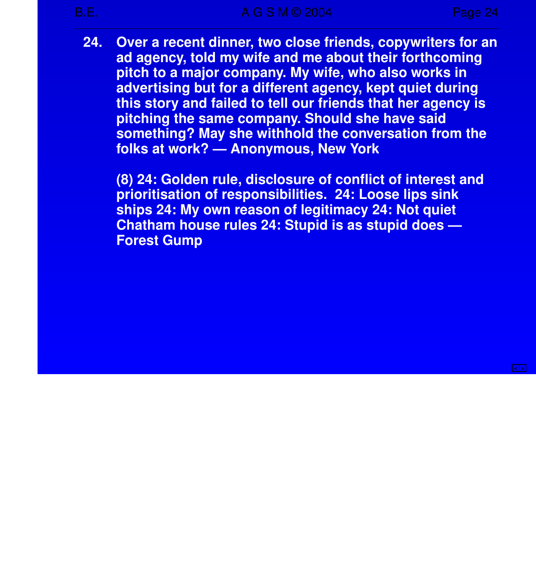**24. Over a recent dinner, two close friends, copywriters for an** ad agency, told my wife and me about their forthcoming **pitch to a major company. My wife, who also works in adver tising but for a different agency, kept quiet during this story and failed to tell our friends that her agency is pitching the same company. Should she have said something? May she withhold the conversation from the folks at work? — Anonymous, New York**

**(8) 24: Golden rule, disclosure of conflict of interest and prioritisation of responsibilities. 24: Loose lips sink ships 24: My own reason of legitimacy 24: Not quiet Chatham house rules 24: Stupid is as stupid does — Forest Gump**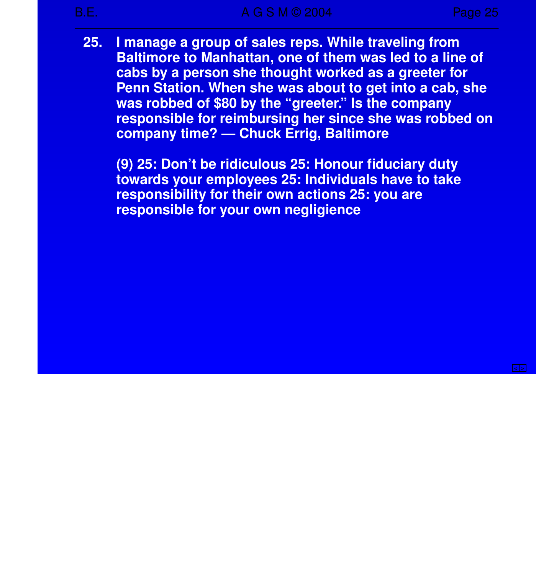**25. I manage a group of sales reps. While traveling from Baltimore to Manhattan, one of them was led to a line of** cabs by a person she thought worked as a greeter for **Penn Station. When she was about to get into a cab, she was robbed of \$80 by the "greeter." Is the company responsible for reimbursing her since she was robbed on company time? — Chuck Errig, Baltimore**

**(9) 25: Don't be ridiculous 25: Honour fiduciary duty towards your employees 25: Individuals have to take responsibility for their own actions 25: you are responsible for your own negligience**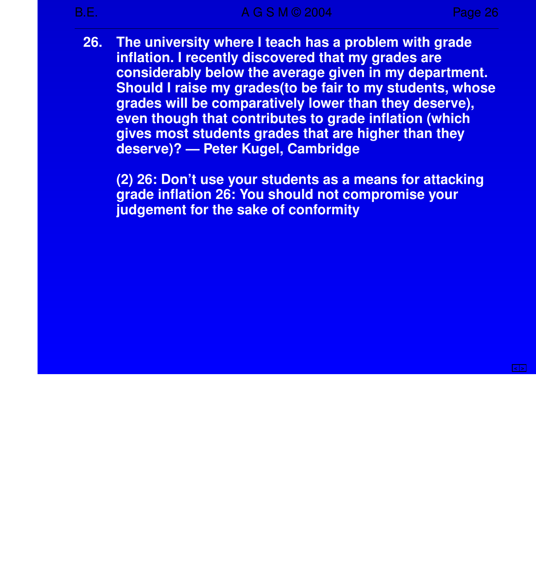**26. The university where I teach has a problem with grade inflation. I recently discovered that my grades are** considerably below the average given in my department. **Should I raise my grades(to be fair to my students, whose** grades will be comparatively lower than they deserve), **even though that contributes to grade inflation (which gives most students grades that are higher than they deserve)? — Peter Kugel, Cambridge** 

**(2) 26: Don't use your students as a means for attacking grade inflation 26: You should not compromise your judg ement for the sake of conformity**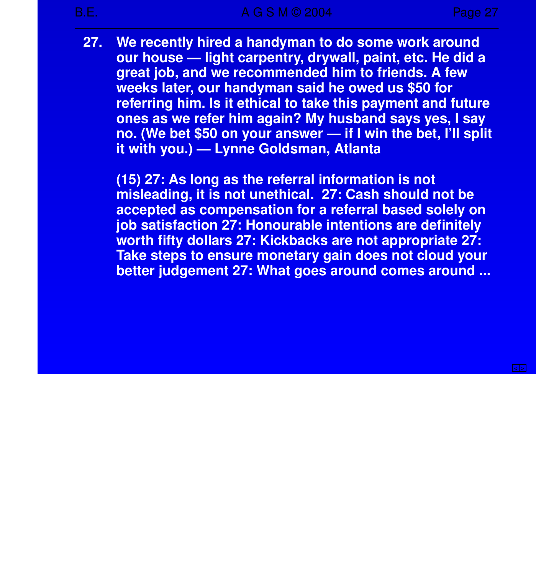**27. We recently hired a handyman to do some work around our house — light carpentry, drywall, paint, etc. He did a great job, and we recommended him to friends. A few weeks later, our handyman said he owed us \$50 for referring him. Is it ethical to take this payment and future ones as we refer him again? My husband says yes, I say no. (We bet \$50 on your answer — if I win the bet, I'll split it with you.) — Lynne Goldsman, Atlanta**

**(15) 27: As long as the referral information is not misleading, it is not unethical. 27: Cash should not be accepted as compensation for a referral based solely on job satisfaction 27: Honourable intentions are definitely worth fifty dollars 27: Kickbacks are not appropriate 27: Take steps to ensure monetary gain does not cloud your better judgement 27: What goes around comes around ...**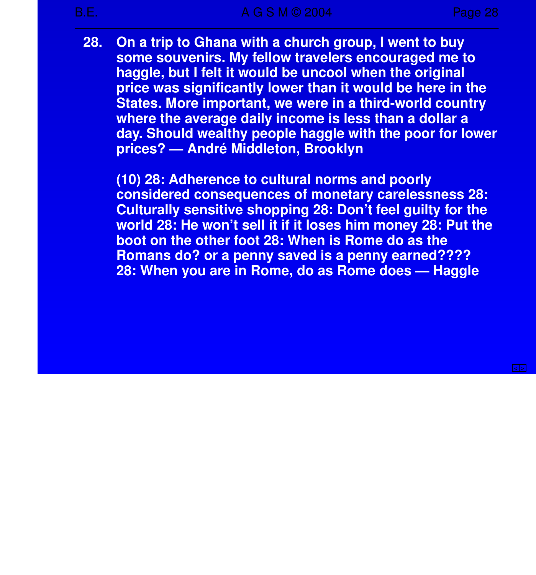**28. On a trip to Ghana with a church group, I went to buy some souvenirs. My fellow travelers encouraged me to** haggle, but I felt it would be uncool when the original **price was significantly lower than it would be here in the States. More important, we were in a third-world country where the average daily income is less than a dollar a day. Should wealthy people haggle with the poor for lower prices? — André Middleton, Brooklyn**

**(10) 28: Adherence to cultural norms and poorly considered consequences of monetary carelessness 28: Culturally sensitive shopping 28: Don't feel guilty for the world 28: He won't sell it if it loses him money 28: Put the boot on the other foot 28: When is Rome do as the Romans do? or a penny saved is a penny earned???? 28: When you are in Rome, do as Rome does — Haggle**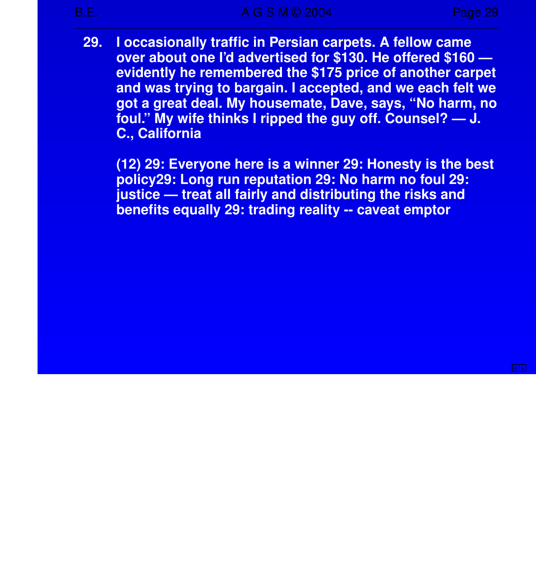**29. I occasionally traffic in Persian carpets. A fellow came over about one I'd adver tised for \$130. He offered \$160 evidently he remembered the \$175 price of another carpet and was trying to bargain. I accepted, and we each felt we got a great deal. My housemate, Dave, says, "No harm, no foul." My wife thinks I ripped the guy off. Counsel? — J. C., California**

**(12) 29: Everyone here is a winner 29: Honesty is the best policy29: Long run reputation 29: No harm no foul 29: justice — treat all fairly and distributing the risks and benefits equally 29: trading reality -- caveat emptor**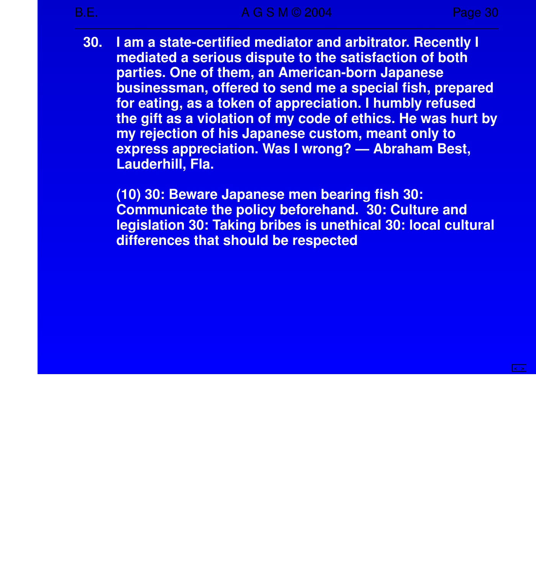**30. I am a state-certified mediator and arbitrator. Recently I mediated a serious dispute to the satisfaction of both par ties. One of them, an American-born Japanese businessman, offered to send me a special fish, prepared for eating, as a token of appreciation. I humbly refused the gift as a violation of my code of ethics. He was hurt by my rejection of his Japanese custom, meant only to express appreciation. Was I wrong? — Abraham Best, Lauderhill, Fla.**

**(10) 30: Beware Japanese men bearing fish 30: Communicate the policy beforehand. 30: Culture and legislation 30: Taking bribes is unethical 30: local cultural differences that should be respected**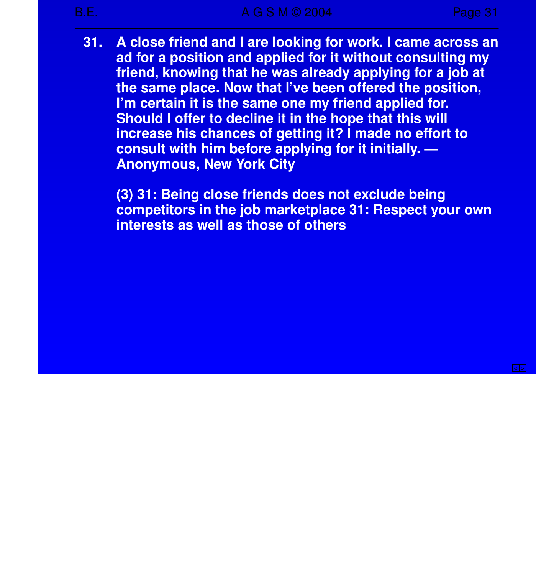**31. A close friend and I are looking for work. I came across an ad for a position and applied for it without consulting my friend, knowing that he was already applying for a job at the same place. Now that I've been offered the position, I'm certain it is the same one my friend applied for. Should I offer to decline it in the hope that this will increase his chances of getting it? I made no effort to consult with him before applying for it initially. — Anonymous, New York City**

**(3) 31: Being close friends does not exclude being competitors in the job marketplace 31: Respect your own interests as well as those of others**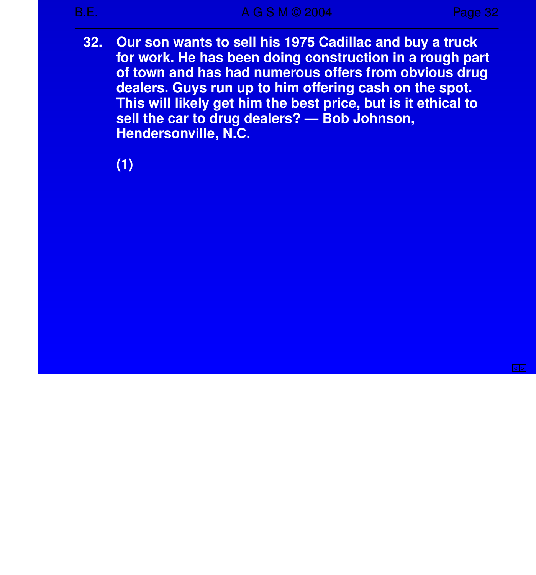**< >**

**32. Our son wants to sell his 1975 Cadillac and buy a truck for work. He has been doing construction in a rough part of town and has had numerous offers from obvious drug dealers. Guys run up to him offering cash on the spot. This will likely get him the best price, but is it ethical to sell the car to drug dealers? — Bob Johnson, Hendersonville, N.C.** 

**(1)**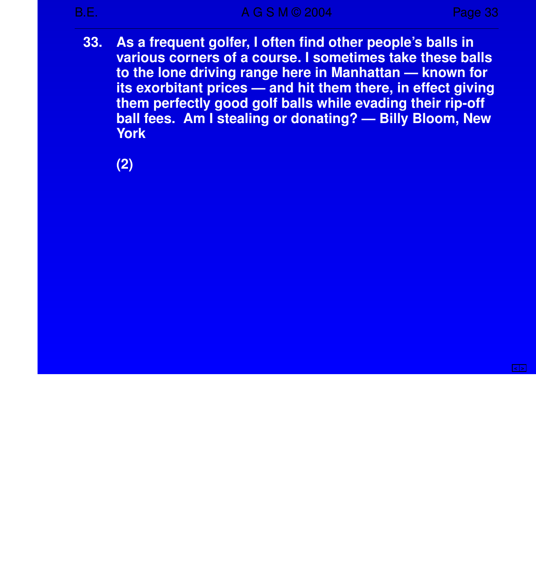**33. As a frequent golfer,Ioften find other people's balls in various corners of a course . I sometimes take these balls to the lone driving range here in Manhattan — known for its exorbitant prices — and hit them there, in effect giving them perfectly good golf balls while evading their rip-off ball fees. Am I stealing or donating? — Billy Bloom, New York**

**(2)**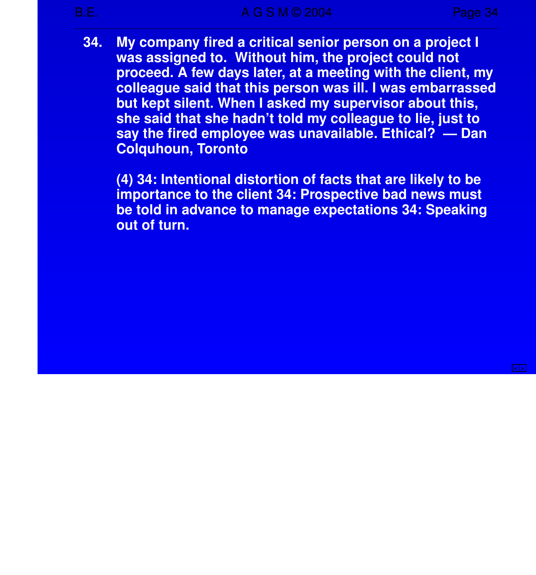**34. My company fired a critical senior person on a project I was assigned to. Without him, the project could not proceed. A few days later, at a meeting with the client, my colleague said that this person was ill. I was embarrassed but kept silent. When I asked my supervisor about this, she said that she hadn't told my colleague to lie, just to say the fired employee was unavailable . Ethical? — Dan Colquhoun, Toronto**

**(4) 34: Intentional distortion of facts that are likely to be importance to the client 34: Prospective bad news must be told in advance to manage expectations 34: Speaking out of turn.**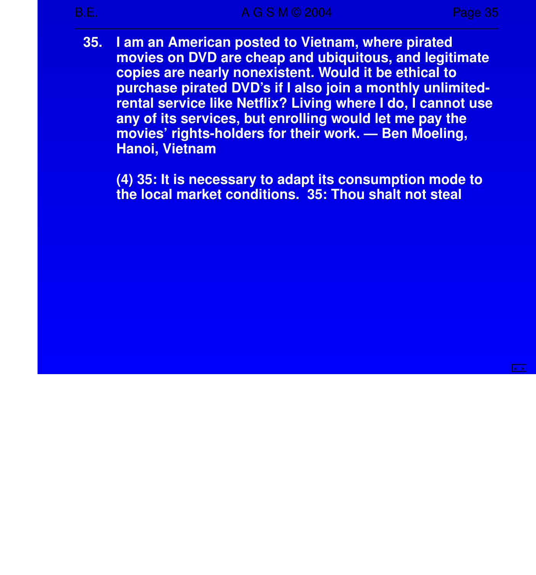**35. I am an American posted to Vietnam, where pirated movies on DVD are cheap and ubiquitous, and legitimate copies are nearly nonexistent. Would it be ethical to purchase pirated DVD's if I also join a monthly unlimitedrental service like Netflix? Living where I do, I cannot use any of its services, but enrolling would let me pay the movies' rights-holders for their work. — Ben Moeling, Hanoi, Vietnam**

**(4) 35: It is necessary to adapt its consumption mode to the local market conditions. 35: Thou shalt not steal**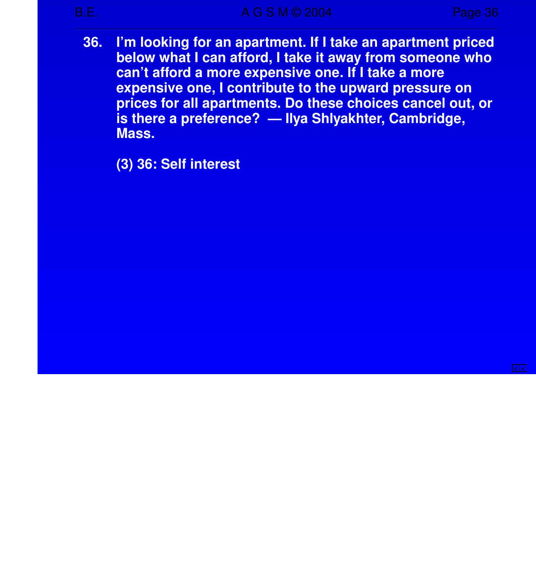**36. I'm looking for an apartment. If I take an apartment priced below what I can afford, I take it away from someone who** can't afford a more expensive one. If I take a more **expensive one, I contribute to the upward pressure on prices for all apartments. Do these choices cancel out, or** is there a preference? — Ilya Shlyakhter, Cambridge, **Mass.**

**(3) 36: Self interest**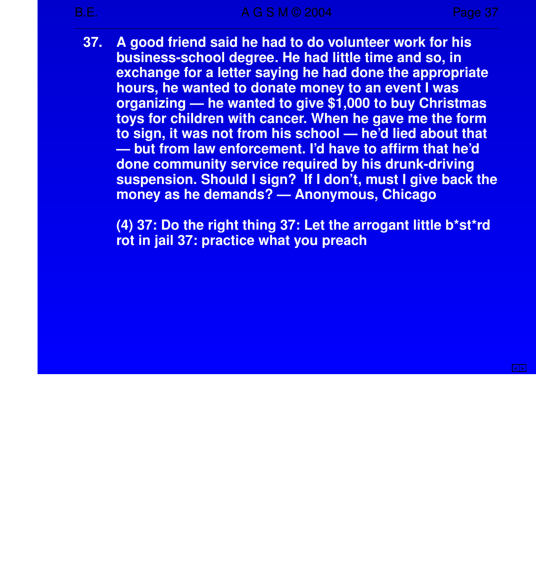**37. A good friend said he had to do volunteer work for his business-school degree. He had little time and so, in exchange for a letter saying he had done the appropriate hours, he wanted to donate money to an event I was organizing — he wanted to give \$1,000 to buy Christmas toys for children with cancer. When he gave me the form to sign, it was not from his school — he'd lied about that — but from law enforcement. I'd have to affirm that he'd done community service required by his drunk-driving suspension. Should I sign? If I don't, must I give back the money as he demands? — Anonymous, Chicago**

**(4) 37: Do the right thing 37: Let the arrogant little b\*st\*rd rot in jail 37: practice what you preach**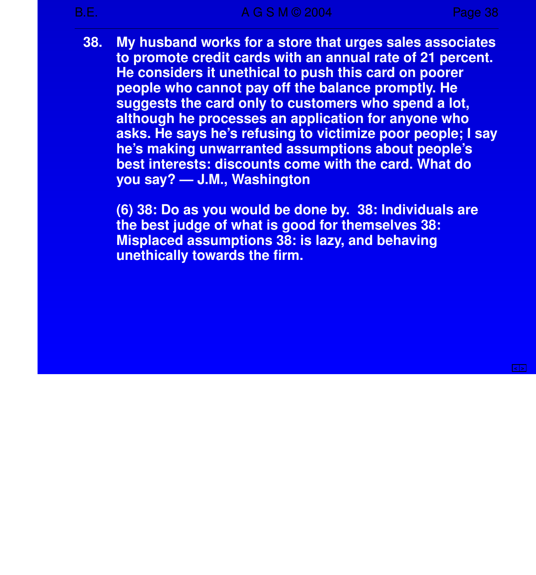**38. My husband works for a store that urges sales associates to promote credit cards with an annual rate of 21 percent. He considers it unethical to push this card on poorer people who cannot pay off the balance promptly. He suggests the card only to customers who spend a lot, although he processes an application for anyone who asks. He says he's refusing to victimize poor people; I say he's making unwarranted assumptions about people's best interests: discounts come with the card. What do you say?—J.M., Washington**

**(6) 38: Do as you would be done by. 38: Individuals are the best judge of what is good for themselves 38: Misplaced assumptions 38: is lazy, and behaving unethically towards the firm.**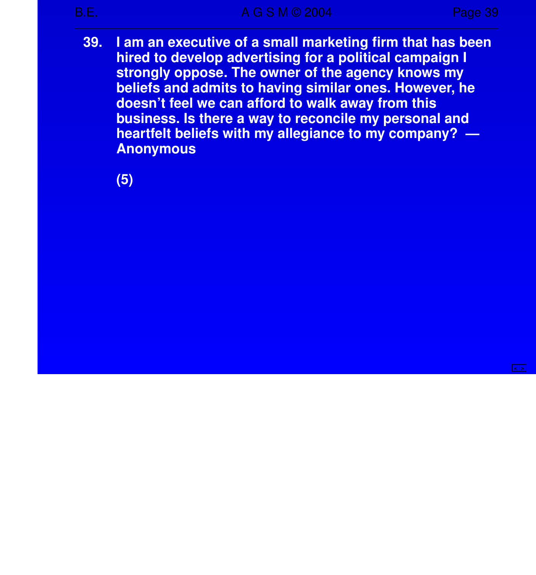**39. I am an executive of a small marketing firm that has been hired to develop advertising for a political campaign I** strongly oppose. The owner of the agency knows my **beliefs and admits to having similar ones. However, he doesn't feel we can afford to walk away from this business. Is there a way to reconcile my personal and hear tfelt beliefs with my allegiance to my company? — Anonymous**

**(5)**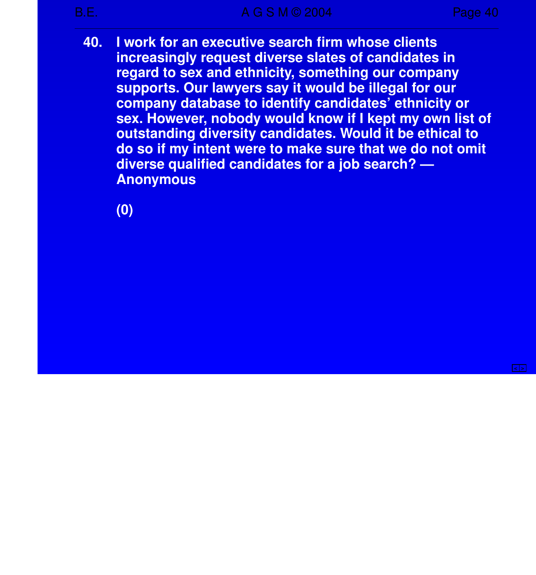**40. I work for an executive search firm whose clients increasingly request diverse slates of candidates in regard to sex and ethnicity, something our company suppor ts. Our lawyers say it would be illegal for our company database to identify candidates' ethnicity or sex. However, nobody would know if I kept my own list of outstanding diversity candidates. Would it be ethical to do so if my intent were to make sure that we do not omit diverse qualified candidates for a job search? — Anonymous**

**(0)**